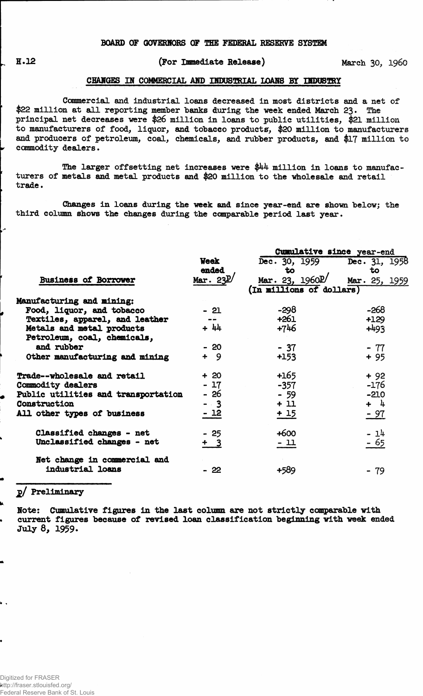### **(For Immediate Release) March 30, i960**

#### **CHANGES IN COMMERCIAL AND INDUSTRIAL LOANS BY INDUSTRY**

**Commercial and industrial loans decreased in most districts and a net of \$22 million at all reporting member "banks during the week ended March 23 • The principal net decreases were \$26 million in loans to public utilities, \$21 million to manufacturers of food, liquor, and tobacco products, \$20 million to manufacturers and producers of petroleum, coal, chemicals, and rubber products, and \$17 million to commodity dealers.**

**The larger offsetting net increases were \$44 million in loans to manufacturers of metals and metal products and \$20 million to the wholesale and retail trade.** 

**Changes in loans during the week and since year-end are shown "below; the third column shows the changes during the comparable period last year.**

|                                     |             | Cumulative since year-end      |               |  |  |  |  |  |
|-------------------------------------|-------------|--------------------------------|---------------|--|--|--|--|--|
|                                     | <b>Week</b> | Dec. 30, 1959 Dec. 31, 1958    |               |  |  |  |  |  |
|                                     | ended       | to                             | to            |  |  |  |  |  |
| <b>Business of Borrower</b>         | Mar. $23E/$ | Mar. 23, $1960$ <sup>p</sup> / | Mar. 25, 1959 |  |  |  |  |  |
|                                     |             | (In millions of dollars)       |               |  |  |  |  |  |
| Manufacturing and mining:           |             |                                |               |  |  |  |  |  |
| Food, liquor, and tobacco           | $-21$       | $-298$                         | -268          |  |  |  |  |  |
| Textiles, apparel, and leather      |             | +261                           | $+129$        |  |  |  |  |  |
| Metals and metal products           | $+ 44$      | +746                           | $+493$        |  |  |  |  |  |
| Petroleum, coal, chemicals,         |             |                                |               |  |  |  |  |  |
| and rubber                          | - 20        | $-37$                          | $-77$         |  |  |  |  |  |
| Other manufacturing and mining      | $+9$        | $+153$                         | $+95$         |  |  |  |  |  |
| Trade--wholesale and retail         | $+20$       | $+165$                         | $+92$         |  |  |  |  |  |
| Commodity dealers                   | $-17$       | $-357$                         | $-176$        |  |  |  |  |  |
| Public utilities and transportation | - 26        | $-59$                          | $-210$        |  |  |  |  |  |
| Construction                        | $-3$        | $+11$                          | $+ 4$         |  |  |  |  |  |
| All other types of business         | $-12$       | $+15$                          | <u>- 97</u>   |  |  |  |  |  |
| Classified changes - net            | $-25$       | $+600$                         | $-14$         |  |  |  |  |  |
| Unclassified changes - net          | $+3$        | <u> - 11</u>                   | - 65          |  |  |  |  |  |
| Net change in commercial and        |             |                                |               |  |  |  |  |  |
| industrial loans                    | - 22        | +589                           | $-79$         |  |  |  |  |  |
|                                     |             |                                |               |  |  |  |  |  |

# **2/ Preliminary**

**Note: Cumulative figures in the last column are not strictly comparable with current figures because of revised loan classification beginning with week ended July 8, 1959.**